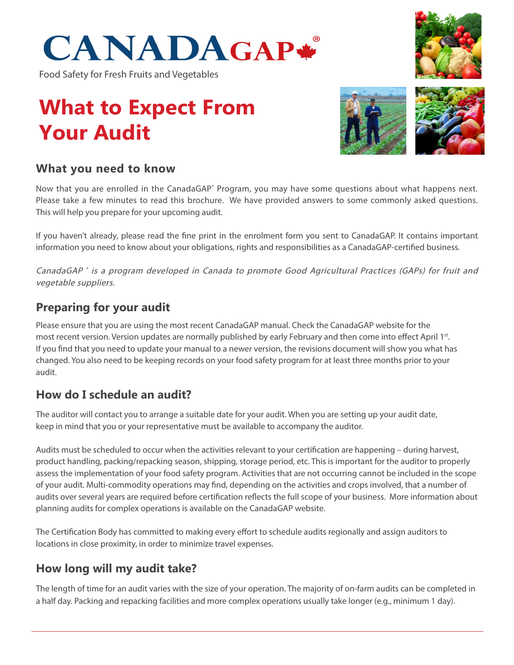

Food Safety for Fresh Fruits and Vegetables

# **What to Expect From Your Audit**





#### **What you need to know**

Now that you are enrolled in the CanadaGAP<sup>®</sup> Program, you may have some questions about what happens next. Please take a few minutes to read this brochure. We have provided answers to some commonly asked questions. This will help you prepare for your upcoming audit.

If you haven't already, please read the fine print in the enrolment form you sent to CanadaGAP. It contains important information you need to know about your obligations, rights and responsibilities as a CanadaGAP-certified business.

CanadaGAP ® is a program developed in Canada to promote Good Agricultural Practices (GAPs) for fruit and vegetable suppliers.

#### **Preparing for your audit**

Please ensure that you are using the most recent CanadaGAP manual. Check the CanadaGAP website for the most recent version. Version updates are normally published by early February and then come into effect April 1st. If you find that you need to update your manual to a newer version, the revisions document will show you what has changed. You also need to be keeping records on your food safety program for at least three months prior to your audit.

#### **How do I schedule an audit?**

The auditor will contact you to arrange a suitable date for your audit. When you are setting up your audit date, keep in mind that you or your representative must be available to accompany the auditor.

Audits must be scheduled to occur when the activities relevant to your certification are happening – during harvest, product handling, packing/repacking season, shipping, storage period, etc. This is important for the auditor to properly assess the implementation of your food safety program. Activities that are not occurring cannot be included in the scope of your audit. Multi-commodity operations may find, depending on the activities and crops involved, that a number of audits over several years are required before certification reflects the full scope of your business. More information about planning audits for complex operations is available on the CanadaGAP website.

The Certification Body has committed to making every effort to schedule audits regionally and assign auditors to locations in close proximity, in order to minimize travel expenses.

#### **How long will my audit take?**

The length of time for an audit varies with the size of your operation. The majority of on-farm audits can be completed in a half day. Packing and repacking facilities and more complex operations usually take longer (e.g., minimum 1 day).